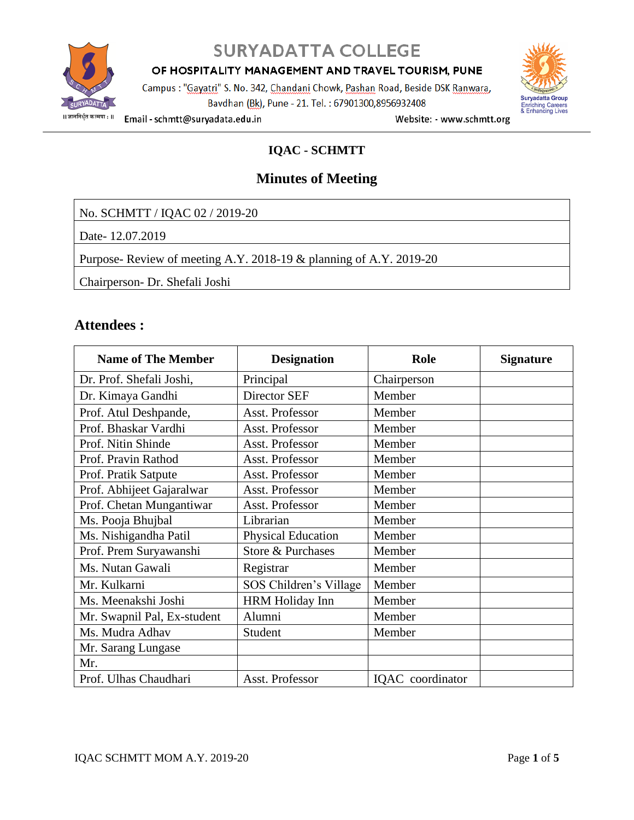

## **SURYADATTA COLLEGE**

OF HOSPITALITY MANAGEMENT AND TRAVEL TOURISM, PUNE

Campus : "Gayatri" S. No. 342, Chandani Chowk, Pashan Road, Beside DSK Ranwara, Bavdhan (Bk), Pune - 21. Tel.: 67901300,8956932408



Email - schmtt@suryadata.edu.in

Website: - www.schmtt.org

## **IQAC - SCHMTT**

## **Minutes of Meeting**

No. SCHMTT / IQAC 02 / 2019-20

Date- 12.07.2019

Purpose- Review of meeting A.Y. 2018-19 & planning of A.Y. 2019-20

Chairperson- Dr. Shefali Joshi

## **Attendees :**

| <b>Name of The Member</b>   | <b>Designation</b>        | Role             | <b>Signature</b> |
|-----------------------------|---------------------------|------------------|------------------|
| Dr. Prof. Shefali Joshi,    | Principal                 | Chairperson      |                  |
| Dr. Kimaya Gandhi           | Director SEF              | Member           |                  |
| Prof. Atul Deshpande,       | Asst. Professor           | Member           |                  |
| Prof. Bhaskar Vardhi        | Asst. Professor           | Member           |                  |
| Prof. Nitin Shinde          | Asst. Professor           | Member           |                  |
| Prof. Pravin Rathod         | Asst. Professor           | Member           |                  |
| Prof. Pratik Satpute        | Asst. Professor           | Member           |                  |
| Prof. Abhijeet Gajaralwar   | Asst. Professor           | Member           |                  |
| Prof. Chetan Mungantiwar    | Asst. Professor           | Member           |                  |
| Ms. Pooja Bhujbal           | Librarian                 | Member           |                  |
| Ms. Nishigandha Patil       | <b>Physical Education</b> | Member           |                  |
| Prof. Prem Suryawanshi      | Store & Purchases         | Member           |                  |
| Ms. Nutan Gawali            | Registrar                 | Member           |                  |
| Mr. Kulkarni                | SOS Children's Village    | Member           |                  |
| Ms. Meenakshi Joshi         | HRM Holiday Inn           | Member           |                  |
| Mr. Swapnil Pal, Ex-student | Alumni                    | Member           |                  |
| Ms. Mudra Adhav             | Student                   | Member           |                  |
| Mr. Sarang Lungase          |                           |                  |                  |
| Mr.                         |                           |                  |                  |
| Prof. Ulhas Chaudhari       | Asst. Professor           | IQAC coordinator |                  |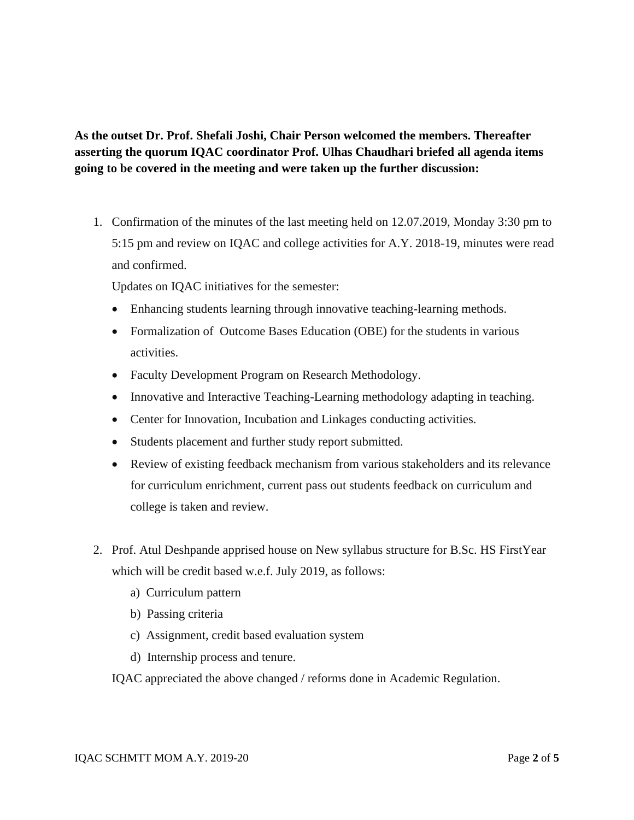**As the outset Dr. Prof. Shefali Joshi, Chair Person welcomed the members. Thereafter asserting the quorum IQAC coordinator Prof. Ulhas Chaudhari briefed all agenda items going to be covered in the meeting and were taken up the further discussion:**

1. Confirmation of the minutes of the last meeting held on 12.07.2019, Monday 3:30 pm to 5:15 pm and review on IQAC and college activities for A.Y. 2018-19, minutes were read and confirmed.

Updates on IQAC initiatives for the semester:

- Enhancing students learning through innovative teaching-learning methods.
- Formalization of Outcome Bases Education (OBE) for the students in various activities.
- Faculty Development Program on Research Methodology.
- Innovative and Interactive Teaching-Learning methodology adapting in teaching.
- Center for Innovation, Incubation and Linkages conducting activities.
- Students placement and further study report submitted.
- Review of existing feedback mechanism from various stakeholders and its relevance for curriculum enrichment, current pass out students feedback on curriculum and college is taken and review.
- 2. Prof. Atul Deshpande apprised house on New syllabus structure for B.Sc. HS FirstYear which will be credit based w.e.f. July 2019, as follows:
	- a) Curriculum pattern
	- b) Passing criteria
	- c) Assignment, credit based evaluation system
	- d) Internship process and tenure.
	- IQAC appreciated the above changed / reforms done in Academic Regulation.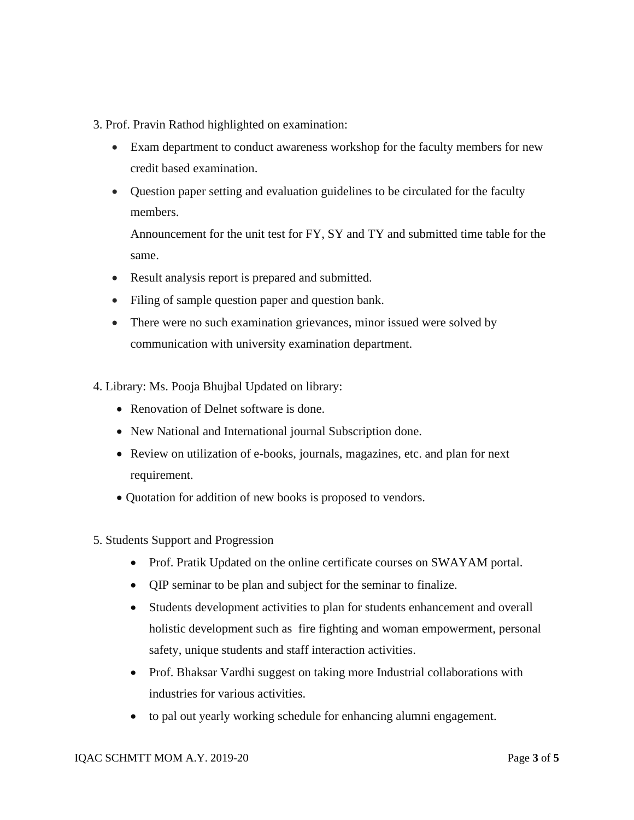3. Prof. Pravin Rathod highlighted on examination:

- Exam department to conduct awareness workshop for the faculty members for new credit based examination.
- Question paper setting and evaluation guidelines to be circulated for the faculty members.

Announcement for the unit test for FY, SY and TY and submitted time table for the same.

- Result analysis report is prepared and submitted.
- Filing of sample question paper and question bank.
- There were no such examination grievances, minor issued were solved by communication with university examination department.
- 4. Library: Ms. Pooja Bhujbal Updated on library:
	- Renovation of Delnet software is done.
	- New National and International journal Subscription done.
	- Review on utilization of e-books, journals, magazines, etc. and plan for next requirement.
	- Quotation for addition of new books is proposed to vendors.
- 5. Students Support and Progression
	- Prof. Pratik Updated on the online certificate courses on SWAYAM portal.
	- QIP seminar to be plan and subject for the seminar to finalize.
	- Students development activities to plan for students enhancement and overall holistic development such as fire fighting and woman empowerment, personal safety, unique students and staff interaction activities.
	- Prof. Bhaksar Vardhi suggest on taking more Industrial collaborations with industries for various activities.
	- to pal out yearly working schedule for enhancing alumni engagement.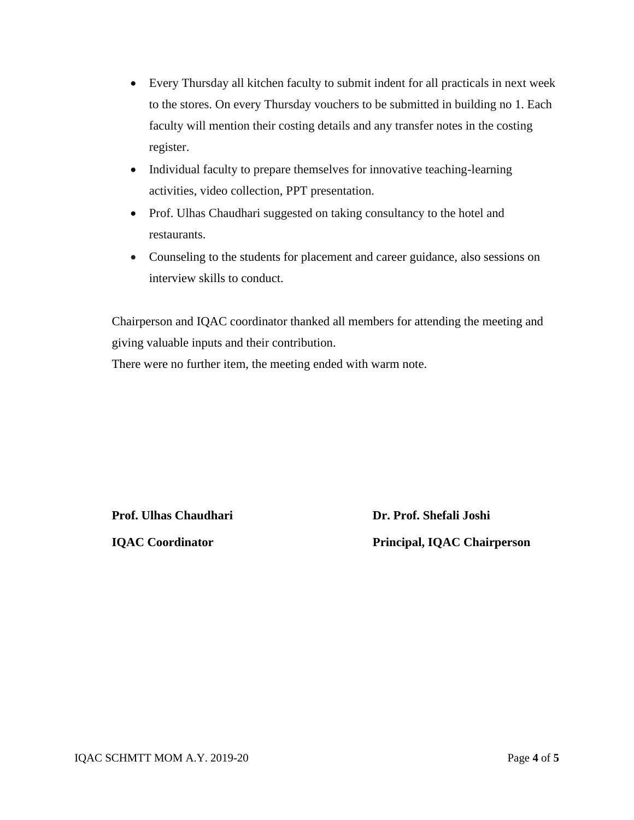- Every Thursday all kitchen faculty to submit indent for all practicals in next week to the stores. On every Thursday vouchers to be submitted in building no 1. Each faculty will mention their costing details and any transfer notes in the costing register.
- Individual faculty to prepare themselves for innovative teaching-learning activities, video collection, PPT presentation.
- Prof. Ulhas Chaudhari suggested on taking consultancy to the hotel and restaurants.
- Counseling to the students for placement and career guidance, also sessions on interview skills to conduct.

Chairperson and IQAC coordinator thanked all members for attending the meeting and giving valuable inputs and their contribution.

There were no further item, the meeting ended with warm note.

**Prof.** Ulhas Chaudhari **Dr. Prof.** Shefali Joshi

 **IQAC Coordinator Principal, IQAC Chairperson**